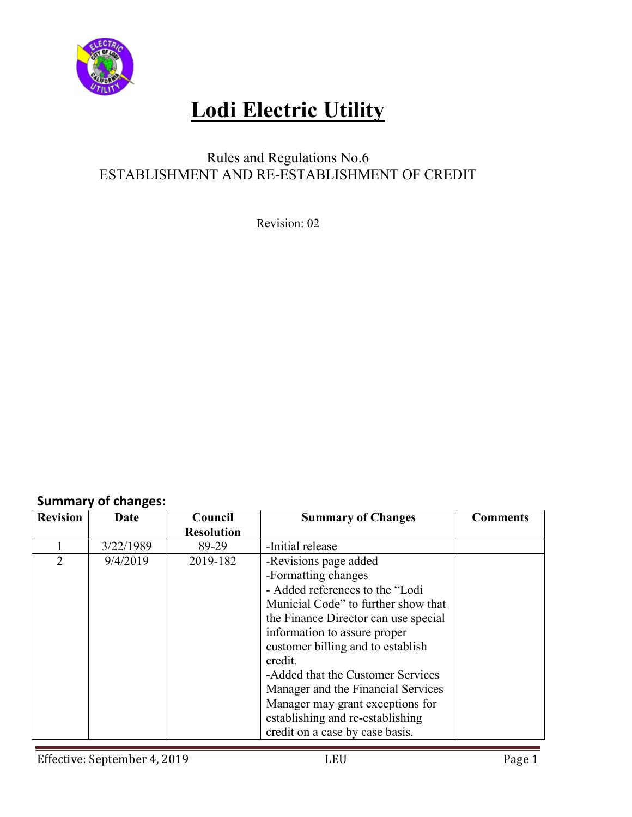

# **Lodi Electric Utility**

## Rules and Regulations No.6 ESTABLISHMENT AND RE-ESTABLISHMENT OF CREDIT

Revision: 02

#### **Summary of changes:**

| <b>Revision</b> | Date      | Council           | <b>Summary of Changes</b>            | <b>Comments</b> |
|-----------------|-----------|-------------------|--------------------------------------|-----------------|
|                 |           | <b>Resolution</b> |                                      |                 |
|                 | 3/22/1989 | 89-29             | -Initial release                     |                 |
| $\overline{2}$  | 9/4/2019  | 2019-182          | -Revisions page added                |                 |
|                 |           |                   | -Formatting changes                  |                 |
|                 |           |                   | - Added references to the "Lodi      |                 |
|                 |           |                   | Municial Code" to further show that  |                 |
|                 |           |                   | the Finance Director can use special |                 |
|                 |           |                   | information to assure proper         |                 |
|                 |           |                   | customer billing and to establish    |                 |
|                 |           |                   | credit.                              |                 |
|                 |           |                   | -Added that the Customer Services    |                 |
|                 |           |                   | Manager and the Financial Services   |                 |
|                 |           |                   | Manager may grant exceptions for     |                 |
|                 |           |                   | establishing and re-establishing     |                 |
|                 |           |                   | credit on a case by case basis.      |                 |